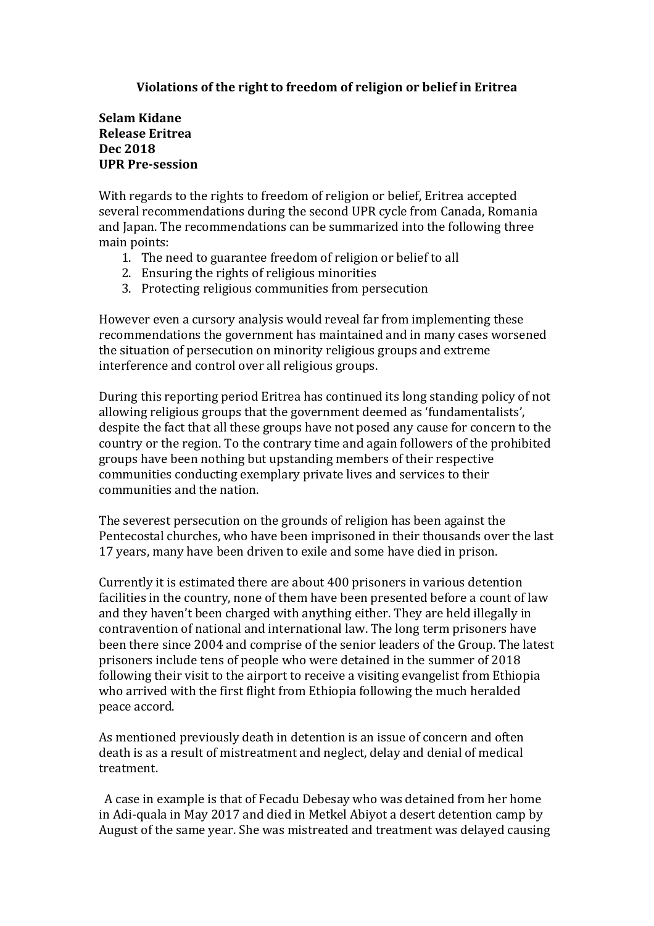## **Violations of the right to freedom of religion or belief in Eritrea**

## **Selam Kidane Release Eritrea Dec 2018 UPR Pre-session**

With regards to the rights to freedom of religion or belief, Eritrea accepted several recommendations during the second UPR cycle from Canada, Romania and Japan. The recommendations can be summarized into the following three main points:

- 1. The need to guarantee freedom of religion or belief to all
- 2. Ensuring the rights of religious minorities
- 3. Protecting religious communities from persecution

However even a cursory analysis would reveal far from implementing these recommendations the government has maintained and in many cases worsened the situation of persecution on minority religious groups and extreme interference and control over all religious groups.

During this reporting period Eritrea has continued its long standing policy of not allowing religious groups that the government deemed as 'fundamentalists', despite the fact that all these groups have not posed any cause for concern to the country or the region. To the contrary time and again followers of the prohibited groups have been nothing but upstanding members of their respective communities conducting exemplary private lives and services to their communities and the nation.

The severest persecution on the grounds of religion has been against the Pentecostal churches, who have been imprisoned in their thousands over the last 17 years, many have been driven to exile and some have died in prison.

Currently it is estimated there are about 400 prisoners in various detention facilities in the country, none of them have been presented before a count of law and they haven't been charged with anything either. They are held illegally in contravention of national and international law. The long term prisoners have been there since 2004 and comprise of the senior leaders of the Group. The latest prisoners include tens of people who were detained in the summer of 2018 following their visit to the airport to receive a visiting evangelist from Ethiopia who arrived with the first flight from Ethiopia following the much heralded peace accord.

As mentioned previously death in detention is an issue of concern and often death is as a result of mistreatment and neglect, delay and denial of medical treatment.

A case in example is that of Fecadu Debesay who was detained from her home in Adi-quala in May 2017 and died in Metkel Abiyot a desert detention camp by August of the same year. She was mistreated and treatment was delayed causing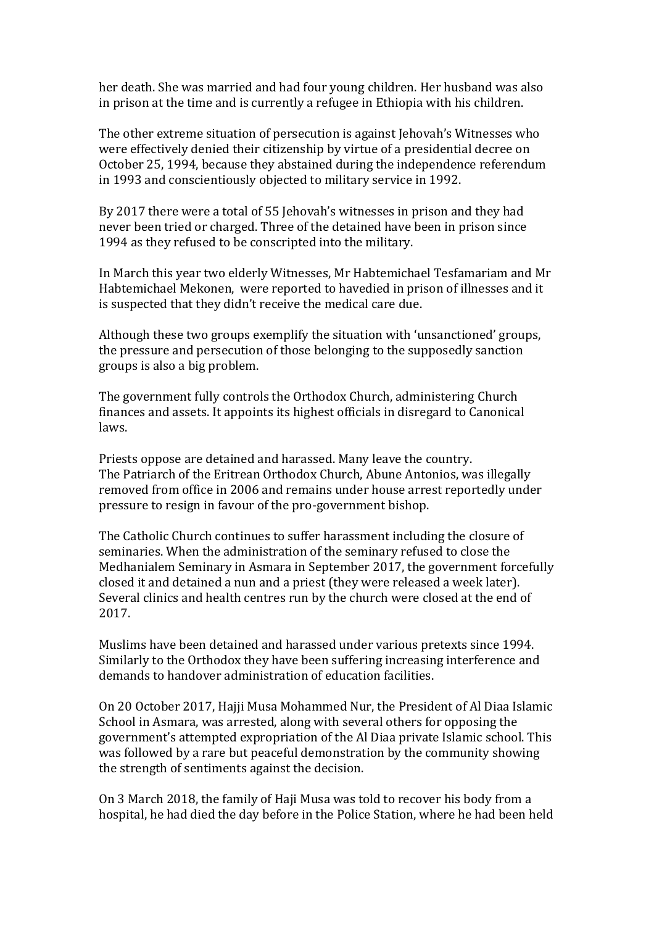her death. She was married and had four young children. Her husband was also in prison at the time and is currently a refugee in Ethiopia with his children.

The other extreme situation of persecution is against Jehovah's Witnesses who were effectively denied their citizenship by virtue of a presidential decree on October 25, 1994, because they abstained during the independence referendum in 1993 and conscientiously objected to military service in 1992.

By 2017 there were a total of 55 Jehovah's witnesses in prison and they had never been tried or charged. Three of the detained have been in prison since 1994 as they refused to be conscripted into the military.

In March this year two elderly Witnesses, Mr Habtemichael Tesfamariam and Mr Habtemichael Mekonen, were reported to havedied in prison of illnesses and it is suspected that they didn't receive the medical care due.

Although these two groups exemplify the situation with 'unsanctioned' groups, the pressure and persecution of those belonging to the supposedly sanction groups is also a big problem.

The government fully controls the Orthodox Church, administering Church finances and assets. It appoints its highest officials in disregard to Canonical laws.

Priests oppose are detained and harassed. Many leave the country. The Patriarch of the Eritrean Orthodox Church, Abune Antonios, was illegally removed from office in 2006 and remains under house arrest reportedly under pressure to resign in favour of the pro-government bishop.

The Catholic Church continues to suffer harassment including the closure of seminaries. When the administration of the seminary refused to close the Medhanialem Seminary in Asmara in September 2017, the government forcefully closed it and detained a nun and a priest (they were released a week later). Several clinics and health centres run by the church were closed at the end of 2017.

Muslims have been detained and harassed under various pretexts since 1994. Similarly to the Orthodox they have been suffering increasing interference and demands to handover administration of education facilities.

On 20 October 2017, Hajji Musa Mohammed Nur, the President of Al Diaa Islamic School in Asmara, was arrested, along with several others for opposing the government's attempted expropriation of the Al Diaa private Islamic school. This was followed by a rare but peaceful demonstration by the community showing the strength of sentiments against the decision.

On 3 March 2018, the family of Haji Musa was told to recover his body from a hospital, he had died the day before in the Police Station, where he had been held